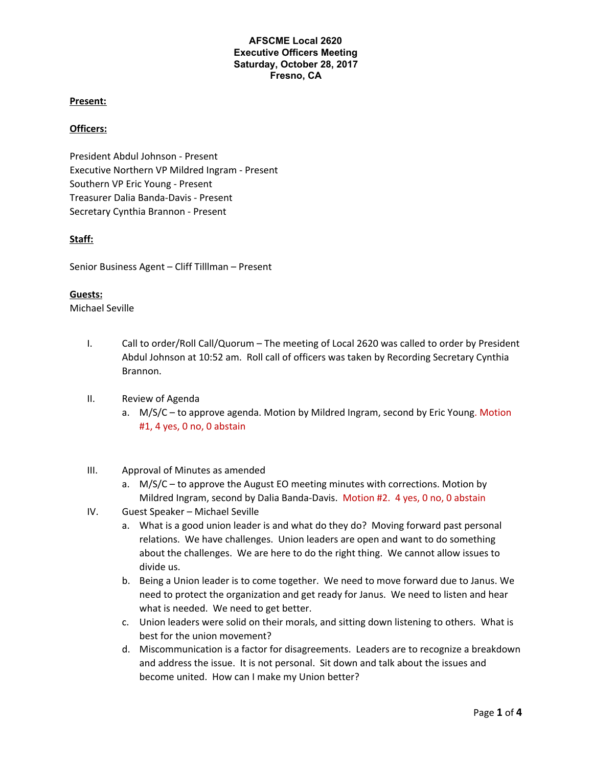## **Present:**

### **Officers:**

President Abdul Johnson - Present Executive Northern VP Mildred Ingram - Present Southern VP Eric Young - Present Treasurer Dalia Banda-Davis - Present Secretary Cynthia Brannon - Present

# **Staff:**

Senior Business Agent – Cliff Tilllman – Present

### **Guests:**

Michael Seville

- I. Call to order/Roll Call/Quorum The meeting of Local 2620 was called to order by President Abdul Johnson at 10:52 am. Roll call of officers was taken by Recording Secretary Cynthia Brannon.
- II. Review of Agenda
	- a. M/S/C to approve agenda. Motion by Mildred Ingram, second by Eric Young. Motion #1, 4 yes, 0 no, 0 abstain
- III. Approval of Minutes as amended
	- a. M/S/C to approve the August EO meeting minutes with corrections. Motion by Mildred Ingram, second by Dalia Banda-Davis. Motion #2. 4 yes, 0 no, 0 abstain
- IV. Guest Speaker Michael Seville
	- a. What is a good union leader is and what do they do? Moving forward past personal relations. We have challenges. Union leaders are open and want to do something about the challenges. We are here to do the right thing. We cannot allow issues to divide us.
	- b. Being a Union leader is to come together. We need to move forward due to Janus. We need to protect the organization and get ready for Janus. We need to listen and hear what is needed. We need to get better.
	- c. Union leaders were solid on their morals, and sitting down listening to others. What is best for the union movement?
	- d. Miscommunication is a factor for disagreements. Leaders are to recognize a breakdown and address the issue. It is not personal. Sit down and talk about the issues and become united. How can I make my Union better?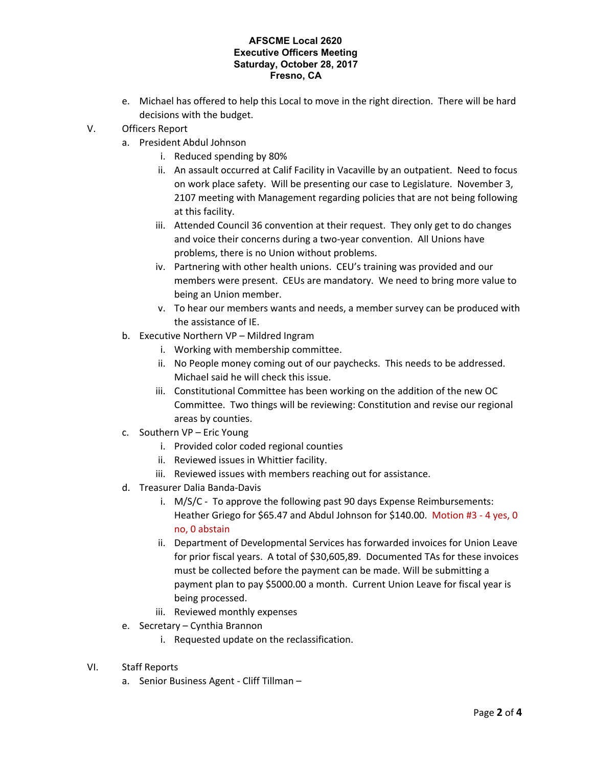- e. Michael has offered to help this Local to move in the right direction. There will be hard decisions with the budget.
- V. Officers Report
	- a. President Abdul Johnson
		- i. Reduced spending by 80%
		- ii. An assault occurred at Calif Facility in Vacaville by an outpatient. Need to focus on work place safety. Will be presenting our case to Legislature. November 3, 2107 meeting with Management regarding policies that are not being following at this facility.
		- iii. Attended Council 36 convention at their request. They only get to do changes and voice their concerns during a two-year convention. All Unions have problems, there is no Union without problems.
		- iv. Partnering with other health unions. CEU's training was provided and our members were present. CEUs are mandatory. We need to bring more value to being an Union member.
		- v. To hear our members wants and needs, a member survey can be produced with the assistance of IE.
	- b. Executive Northern VP Mildred Ingram
		- i. Working with membership committee.
		- ii. No People money coming out of our paychecks. This needs to be addressed. Michael said he will check this issue.
		- iii. Constitutional Committee has been working on the addition of the new OC Committee. Two things will be reviewing: Constitution and revise our regional areas by counties.
	- c. Southern VP Eric Young
		- i. Provided color coded regional counties
		- ii. Reviewed issues in Whittier facility.
		- iii. Reviewed issues with members reaching out for assistance.
	- d. Treasurer Dalia Banda-Davis
		- i. M/S/C To approve the following past 90 days Expense Reimbursements: Heather Griego for \$65.47 and Abdul Johnson for \$140.00. Motion #3 - 4 yes, 0 no, 0 abstain
		- ii. Department of Developmental Services has forwarded invoices for Union Leave for prior fiscal years. A total of \$30,605,89. Documented TAs for these invoices must be collected before the payment can be made. Will be submitting a payment plan to pay \$5000.00 a month. Current Union Leave for fiscal year is being processed.
		- iii. Reviewed monthly expenses
	- e. Secretary Cynthia Brannon
		- i. Requested update on the reclassification.
- VI. Staff Reports
	- a. Senior Business Agent Cliff Tillman –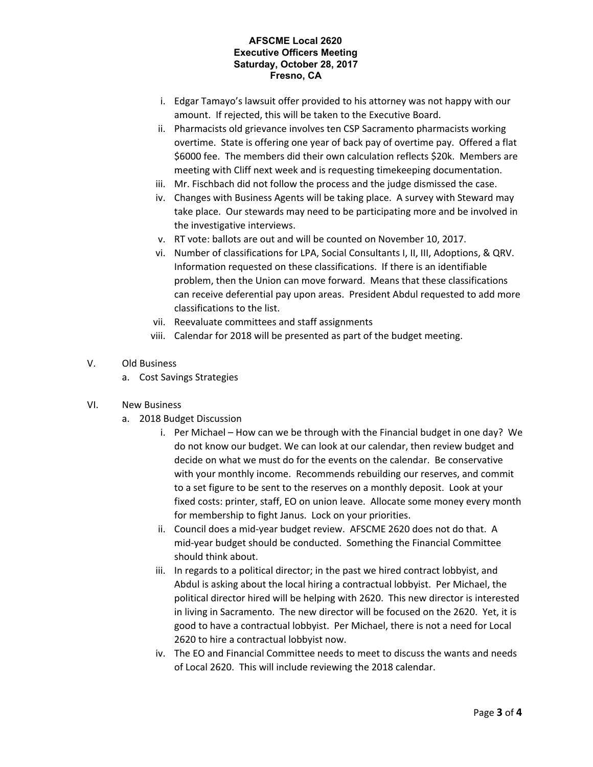- i. Edgar Tamayo's lawsuit offer provided to his attorney was not happy with our amount. If rejected, this will be taken to the Executive Board.
- ii. Pharmacists old grievance involves ten CSP Sacramento pharmacists working overtime. State is offering one year of back pay of overtime pay. Offered a flat \$6000 fee. The members did their own calculation reflects \$20k. Members are meeting with Cliff next week and is requesting timekeeping documentation.
- iii. Mr. Fischbach did not follow the process and the judge dismissed the case.
- iv. Changes with Business Agents will be taking place. A survey with Steward may take place. Our stewards may need to be participating more and be involved in the investigative interviews.
- v. RT vote: ballots are out and will be counted on November 10, 2017.
- vi. Number of classifications for LPA, Social Consultants I, II, III, Adoptions, & QRV. Information requested on these classifications. If there is an identifiable problem, then the Union can move forward. Means that these classifications can receive deferential pay upon areas. President Abdul requested to add more classifications to the list.
- vii. Reevaluate committees and staff assignments
- viii. Calendar for 2018 will be presented as part of the budget meeting.
- V. Old Business
	- a. Cost Savings Strategies
- VI. New Business
	- a. 2018 Budget Discussion
		- i. Per Michael How can we be through with the Financial budget in one day? We do not know our budget. We can look at our calendar, then review budget and decide on what we must do for the events on the calendar. Be conservative with your monthly income. Recommends rebuilding our reserves, and commit to a set figure to be sent to the reserves on a monthly deposit. Look at your fixed costs: printer, staff, EO on union leave. Allocate some money every month for membership to fight Janus. Lock on your priorities.
		- ii. Council does a mid-year budget review. AFSCME 2620 does not do that. A mid-year budget should be conducted. Something the Financial Committee should think about.
		- iii. In regards to a political director; in the past we hired contract lobbyist, and Abdul is asking about the local hiring a contractual lobbyist. Per Michael, the political director hired will be helping with 2620. This new director is interested in living in Sacramento. The new director will be focused on the 2620. Yet, it is good to have a contractual lobbyist. Per Michael, there is not a need for Local 2620 to hire a contractual lobbyist now.
		- iv. The EO and Financial Committee needs to meet to discuss the wants and needs of Local 2620. This will include reviewing the 2018 calendar.